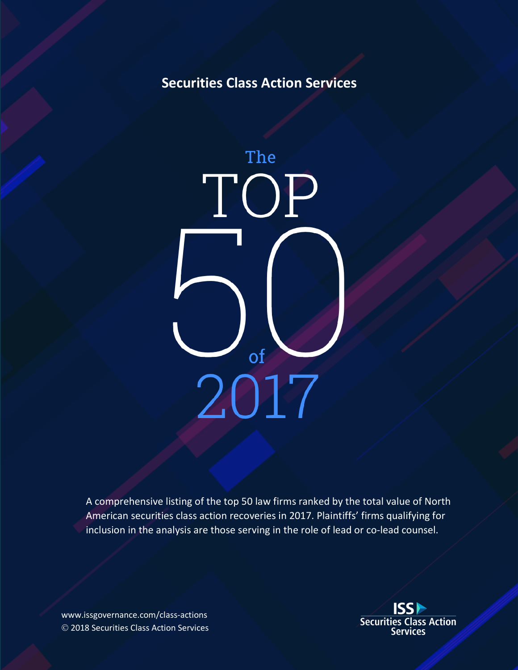## **Securities Class Action Services**



A comprehensive listing of the top 50 law firms ranked by the total value of North American securities class action recoveries in 2017. Plaintiffs' firms qualifying for inclusion in the analysis are those serving in the role of lead or co-lead counsel.

www.issgovernance.com/class-actions Ó 2018 Securities Class Action Services

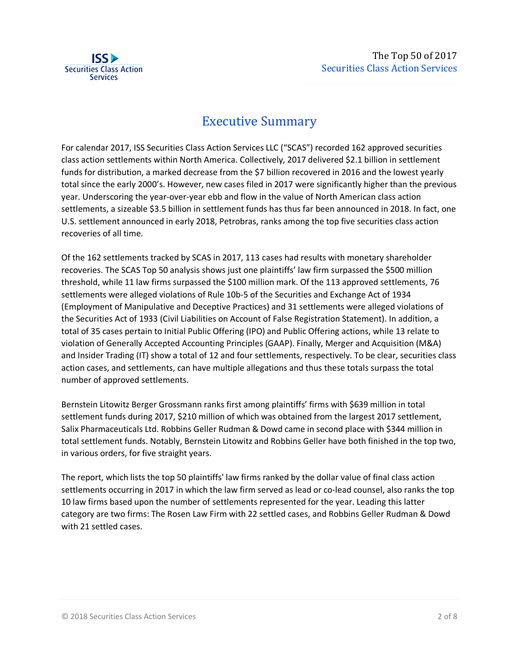

## **Executive Summary**

For calendar 2017, ISS Securities Class Action Services LLC ("SCAS") recorded 162 approved securities class action settlements within North America. Collectively, 2017 delivered \$2.1 billion in settlement funds for distribution, a marked decrease from the \$7 billion recovered in 2016 and the lowest yearly total since the early 2000's. However, new cases filed in 2017 were significantly higher than the previous year. Underscoring the year-over-year ebb and flow in the value of North American class action settlements, a sizeable \$3.5 billion in settlement funds has thus far been announced in 2018. In fact, one U.S. settlement announced in early 2018, Petrobras, ranks among the top five securities class action recoveries of all time.

Of the 162 settlements tracked by SCAS in 2017, 113 cases had results with monetary shareholder recoveries. The SCAS Top 50 analysis shows just one plaintiffs' law firm surpassed the \$500 million threshold, while 11 law firms surpassed the \$100 million mark. Of the 113 approved settlements, 76 settlements were alleged violations of Rule 10b-5 of the Securities and Exchange Act of 1934 (Employment of Manipulative and Deceptive Practices) and 31 settlements were alleged violations of the Securities Act of 1933 (Civil Liabilities on Account of False Registration Statement). In addition, a total of 35 cases pertain to Initial Public Offering (IPO) and Public Offering actions, while 13 relate to violation of Generally Accepted Accounting Principles (GAAP). Finally, Merger and Acquisition (M&A) and Insider Trading (IT) show a total of 12 and four settlements, respectively. To be clear, securities class action cases, and settlements, can have multiple allegations and thus these totals surpass the total number of approved settlements.

Bernstein Litowitz Berger Grossmann ranks first among plaintiffs' firms with \$639 million in total settlement funds during 2017, \$210 million of which was obtained from the largest 2017 settlement, Salix Pharmaceuticals Ltd. Robbins Geller Rudman & Dowd came in second place with \$344 million in total settlement funds. Notably, Bernstein Litowitz and Robbins Geller have both finished in the top two, in various orders, for five straight years.

The report, which lists the top 50 plaintiffs' law firms ranked by the dollar value of final class action settlements occurring in 2017 in which the law firm served as lead or co-lead counsel, also ranks the top 10 law firms based upon the number of settlements represented for the year. Leading this latter category are two firms: The Rosen Law Firm with 22 settled cases, and Robbins Geller Rudman & Dowd with 21 settled cases.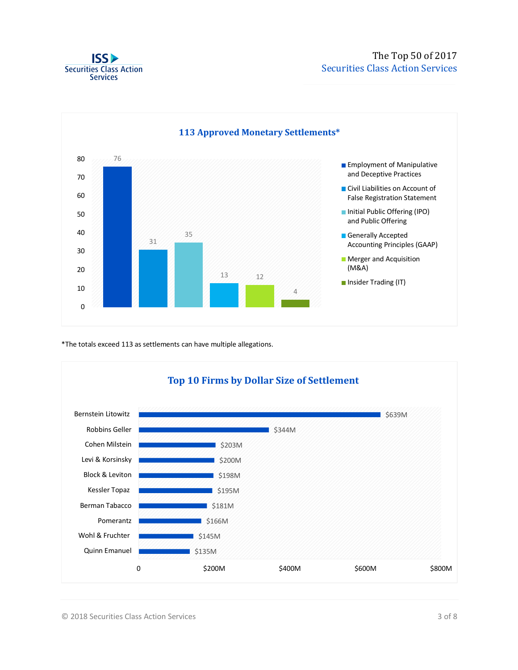



\*The totals exceed 113 as settlements can have multiple allegations.

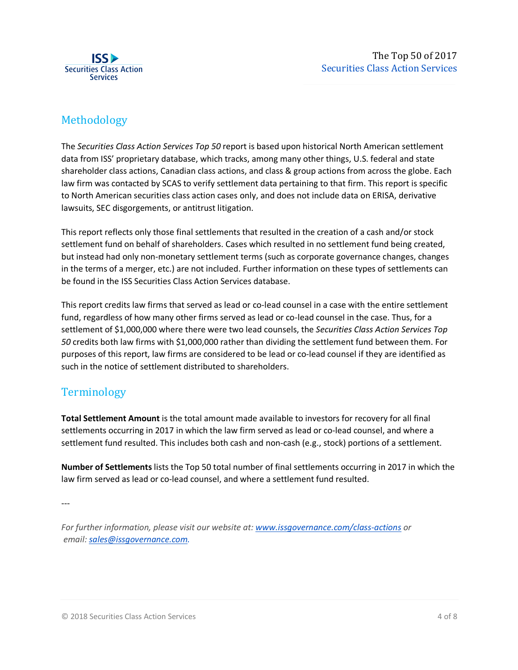

### Methodology

The *Securities Class Action Services Top 50* report is based upon historical North American settlement data from ISS' proprietary database, which tracks, among many other things, U.S. federal and state shareholder class actions, Canadian class actions, and class & group actions from across the globe. Each law firm was contacted by SCAS to verify settlement data pertaining to that firm. This report is specific to North American securities class action cases only, and does not include data on ERISA, derivative lawsuits, SEC disgorgements, or antitrust litigation.

This report reflects only those final settlements that resulted in the creation of a cash and/or stock settlement fund on behalf of shareholders. Cases which resulted in no settlement fund being created, but instead had only non-monetary settlement terms (such as corporate governance changes, changes in the terms of a merger, etc.) are not included. Further information on these types of settlements can be found in the ISS Securities Class Action Services database.

This report credits law firms that served as lead or co-lead counsel in a case with the entire settlement fund, regardless of how many other firms served as lead or co-lead counsel in the case. Thus, for a settlement of \$1,000,000 where there were two lead counsels, the *Securities Class Action Services Top 50* credits both law firms with \$1,000,000 rather than dividing the settlement fund between them. For purposes of this report, law firms are considered to be lead or co-lead counsel if they are identified as such in the notice of settlement distributed to shareholders.

#### **Terminology**

**Total Settlement Amount** is the total amount made available to investors for recovery for all final settlements occurring in 2017 in which the law firm served as lead or co-lead counsel, and where a settlement fund resulted. This includes both cash and non-cash (e.g., stock) portions of a settlement.

**Number of Settlements** lists the Top 50 total number of final settlements occurring in 2017 in which the law firm served as lead or co-lead counsel, and where a settlement fund resulted.

---

*For further information, please visit our website at: www.issgovernance.com/class-actions or email: sales@issgovernance.com.*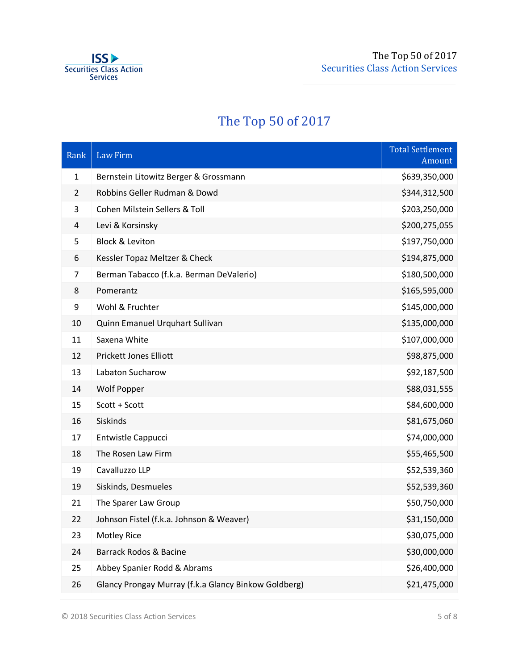

# The Top 50 of 2017

| Rank           | <b>Law Firm</b>                                      | <b>Total Settlement</b><br>Amount |
|----------------|------------------------------------------------------|-----------------------------------|
| 1              | Bernstein Litowitz Berger & Grossmann                | \$639,350,000                     |
| $\overline{2}$ | Robbins Geller Rudman & Dowd                         | \$344,312,500                     |
| 3              | Cohen Milstein Sellers & Toll                        | \$203,250,000                     |
| 4              | Levi & Korsinsky                                     | \$200,275,055                     |
| 5              | <b>Block &amp; Leviton</b>                           | \$197,750,000                     |
| 6              | Kessler Topaz Meltzer & Check                        | \$194,875,000                     |
| 7              | Berman Tabacco (f.k.a. Berman DeValerio)             | \$180,500,000                     |
| 8              | Pomerantz                                            | \$165,595,000                     |
| 9              | Wohl & Fruchter                                      | \$145,000,000                     |
| 10             | Quinn Emanuel Urquhart Sullivan                      | \$135,000,000                     |
| 11             | Saxena White                                         | \$107,000,000                     |
| 12             | <b>Prickett Jones Elliott</b>                        | \$98,875,000                      |
| 13             | Labaton Sucharow                                     | \$92,187,500                      |
| 14             | <b>Wolf Popper</b>                                   | \$88,031,555                      |
| 15             | Scott + Scott                                        | \$84,600,000                      |
| 16             | Siskinds                                             | \$81,675,060                      |
| 17             | <b>Entwistle Cappucci</b>                            | \$74,000,000                      |
| 18             | The Rosen Law Firm                                   | \$55,465,500                      |
| 19             | Cavalluzzo LLP                                       | \$52,539,360                      |
| 19             | Siskinds, Desmueles                                  | \$52,539,360                      |
| 21             | The Sparer Law Group                                 | \$50,750,000                      |
| 22             | Johnson Fistel (f.k.a. Johnson & Weaver)             | \$31,150,000                      |
| 23             | <b>Motley Rice</b>                                   | \$30,075,000                      |
| 24             | Barrack Rodos & Bacine                               | \$30,000,000                      |
| 25             | Abbey Spanier Rodd & Abrams                          | \$26,400,000                      |
| 26             | Glancy Prongay Murray (f.k.a Glancy Binkow Goldberg) | \$21,475,000                      |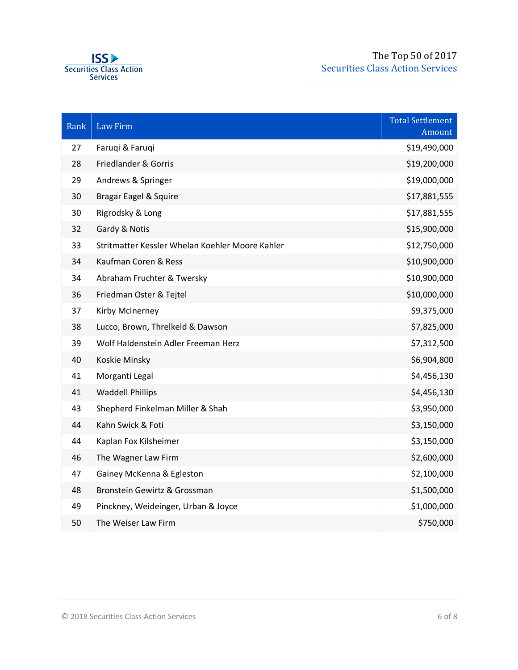

| Rank | <b>Law Firm</b>                                 | <b>Total Settlement</b><br>Amount |
|------|-------------------------------------------------|-----------------------------------|
| 27   | Faruqi & Faruqi                                 | \$19,490,000                      |
| 28   | Friedlander & Gorris                            | \$19,200,000                      |
| 29   | Andrews & Springer                              | \$19,000,000                      |
| 30   | Bragar Eagel & Squire                           | \$17,881,555                      |
| 30   | Rigrodsky & Long                                | \$17,881,555                      |
| 32   | Gardy & Notis                                   | \$15,900,000                      |
| 33   | Stritmatter Kessler Whelan Koehler Moore Kahler | \$12,750,000                      |
| 34   | Kaufman Coren & Ress                            | \$10,900,000                      |
| 34   | Abraham Fruchter & Twersky                      | \$10,900,000                      |
| 36   | Friedman Oster & Tejtel                         | \$10,000,000                      |
| 37   | Kirby McInerney                                 | \$9,375,000                       |
| 38   | Lucco, Brown, Threlkeld & Dawson                | \$7,825,000                       |
| 39   | Wolf Haldenstein Adler Freeman Herz             | \$7,312,500                       |
| 40   | Koskie Minsky                                   | \$6,904,800                       |
| 41   | Morganti Legal                                  | \$4,456,130                       |
| 41   | <b>Waddell Phillips</b>                         | \$4,456,130                       |
| 43   | Shepherd Finkelman Miller & Shah                | \$3,950,000                       |
| 44   | Kahn Swick & Foti                               | \$3,150,000                       |
| 44   | Kaplan Fox Kilsheimer                           | \$3,150,000                       |
| 46   | The Wagner Law Firm                             | \$2,600,000                       |
| 47   | Gainey McKenna & Egleston                       | \$2,100,000                       |
| 48   | Bronstein Gewirtz & Grossman                    | \$1,500,000                       |
| 49   | Pinckney, Weideinger, Urban & Joyce             | \$1,000,000                       |
| 50   | The Weiser Law Firm                             | \$750,000                         |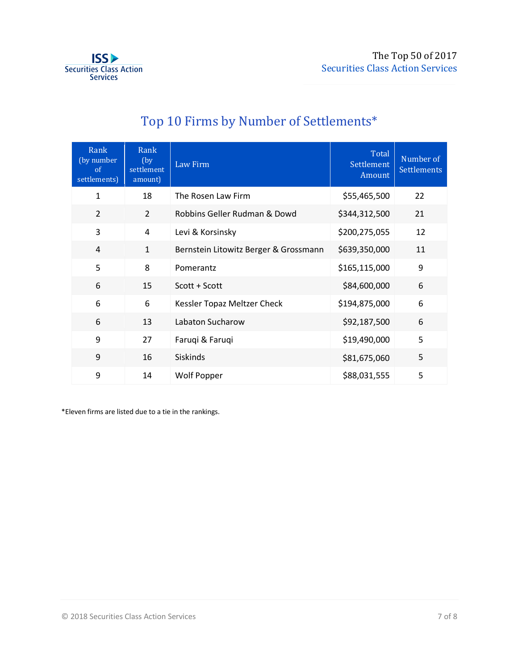

| Rank<br>(by number<br><sub>of</sub><br>settlements) | Rank<br>(by)<br>settlement<br>amount) | Law Firm                              | Total<br>Settlement<br>Amount | Number of<br><b>Settlements</b> |
|-----------------------------------------------------|---------------------------------------|---------------------------------------|-------------------------------|---------------------------------|
| $\mathbf 1$                                         | 18                                    | The Rosen Law Firm                    | \$55,465,500                  | 22                              |
| $\overline{2}$                                      | $\overline{2}$                        | Robbins Geller Rudman & Dowd          | \$344,312,500                 | 21                              |
| 3                                                   | 4                                     | Levi & Korsinsky                      | \$200,275,055                 | 12                              |
| $\overline{4}$                                      | $\mathbf{1}$                          | Bernstein Litowitz Berger & Grossmann | \$639,350,000                 | 11                              |
| 5                                                   | 8                                     | Pomerantz                             | \$165,115,000                 | 9                               |
| 6                                                   | 15                                    | Scott + Scott                         | \$84,600,000                  | 6                               |
| 6                                                   | 6                                     | Kessler Topaz Meltzer Check           | \$194,875,000                 | 6                               |
| 6                                                   | 13                                    | Labaton Sucharow                      | \$92,187,500                  | 6                               |
| 9                                                   | 27                                    | Faruqi & Faruqi                       | \$19,490,000                  | 5                               |
| 9                                                   | 16                                    | <b>Siskinds</b>                       | \$81,675,060                  | 5                               |
| 9                                                   | 14                                    | <b>Wolf Popper</b>                    | \$88,031,555                  | 5                               |

# Top 10 Firms by Number of Settlements\*

\*Eleven firms are listed due to a tie in the rankings.